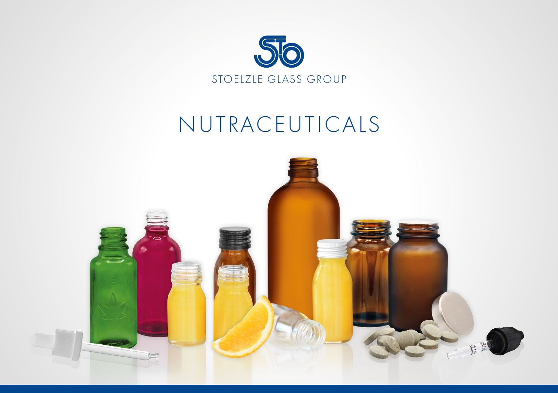

# NUTRACEUTICALS

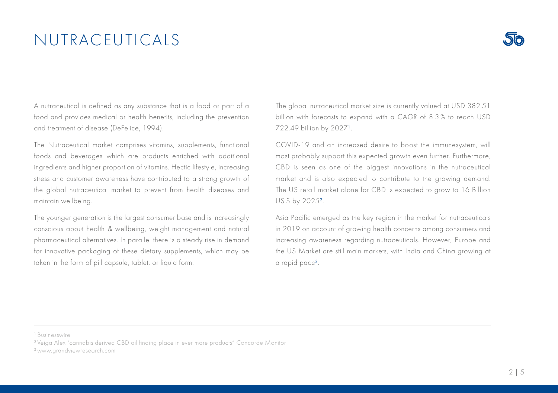### NUTRACEUTICALS

A nutraceutical is defined as any substance that is a food or part of a food and provides medical or health benefits, including the prevention and treatment of disease (DeFelice, 1994).

The Nutraceutical market comprises vitamins, supplements, functional foods and beverages which are products enriched with additional ingredients and higher proportion of vitamins. Hectic lifestyle, increasing stress and customer awareness have contributed to a strong growth of the global nutraceutical market to prevent from health diseases and maintain wellbeing.

The younger generation is the largest consumer base and is increasingly conscious about health & wellbeing, weight management and natural pharmaceutical alternatives. In parallel there is a steady rise in demand for innovative packaging of these dietary supplements, which may be taken in the form of pill capsule, tablet, or liquid form.

The global nutraceutical market size is currently valued at USD 382.51 billion with forecasts to expand with a CAGR of 8.3 % to reach USD 722.49 billion by 2027<sup>1</sup>.

COVID-19 and an increased desire to boost the immunesystem, will most probably support this expected growth even further. Furthermore, CBD is seen as one of the biggest innovations in the nutraceutical market and is also expected to contribute to the growing demand. The US retail market alone for CBD is expected to grow to 16 Billion US \$ by 2025².

Asia Pacific emerged as the key region in the market for nutraceuticals in 2019 on account of growing health concerns among consumers and increasing awareness regarding nutraceuticals. However, Europe and the US Market are still main markets, with India and China growing at a rapid pace<sup>3</sup>.

<sup>1</sup> Businesswire

² Veiga Alex "cannabis derived CBD oil finding place in ever more products" Concorde Monitor

³ www.grandviewresearch.com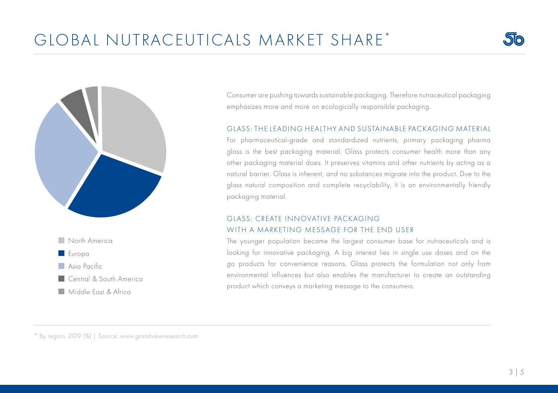## GLOBAL NUTRACEUTICALS MARKET SHARE \*





**Middle Fast & Africa** 

Consumer are pushing towards sustainable packaging. Therefore nutraceutical packaging emphasizes more and more on ecologically responsible packaging.

### GLASS: THE LEADING HEALTHY AND SUSTAINABLE PACKAGING MATERIAL

For pharmaceutical-grade and standardized nutrients, primary packaging pharma glass is the best packaging material. Glass protects consumer health more than any other packaging material does. It preserves vitamins and other nutrients by acting as a natural barrier. Glass is inherent, and no substances migrate into the product. Due to the glass natural composition and complete recyclability, it is an environmentally friendly packaging material.

### GLASS: CREATE INNOVATIVE PACKAGING WITH A MARKETING MESSAGE FOR THE END LISER

The younger population became the largest consumer base for nutraceuticals and is looking for innovative packaging. A big interest lies in single use doses and on the go products for convenience reasons. Glass protects the formulation not only from environmental influences but also enables the manufacturer to create an outstanding product which conveys a marketing message to the consumers.

\* By region, 2019 (%) | Source: www.grandviewresearch.com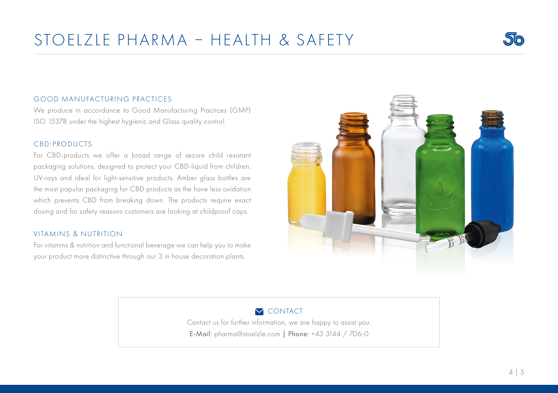### STOELZLE PHARMA – HEALTH & SAFETY



### GOOD MANUFACTURING PRACTICES

We produce in accordance to Good Manufacturing Practices (GMP) ISO 15378 under the highest hygienic and Glass quality control.

#### CBD-PRODUCTS

For CBD-products we offer a broad range of secure child resistant packaging solutions, designed to protect your CBD-liquid from children, UV-rays and ideal for light-sensitive products. Amber glass bottles are the most popular packaging for CBD products as the have less oxidation which prevents CBD from breaking down. The products require exact dosing and for safety reasons customers are looking at childproof caps.

### VITAMINS & NUTRITION

For vitamins & nutrition and functional beverage we can help you to make your product more distinctive through our 3 in house decoration plants.



### **M** CONTACT

Contact us for further information, we are happy to assist you. E-Mail: pharma@stoelzle.com | Phone: +43 3144 / 706-0